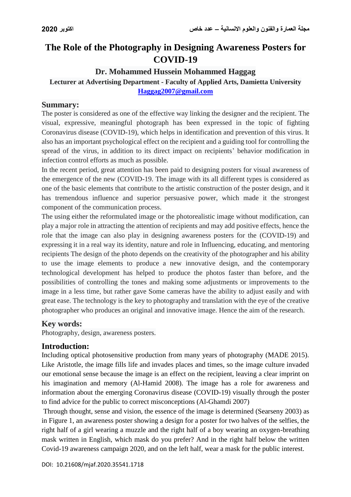# **The Role of the Photography in Designing Awareness Posters for COVID-19**

# **Dr. Mohammed Hussein Mohammed Haggag**

# **Lecturer at Advertising Department - Faculty of Applied Arts, Damietta University [Haggag2007@gmail.com](mailto:Haggag2007@gmail.com)**

#### **Summary:**

The poster is considered as one of the effective way linking the designer and the recipient. The visual, expressive, meaningful photograph has been expressed in the topic of fighting Coronavirus disease (COVID-19), which helps in identification and prevention of this virus. It also has an important psychological effect on the recipient and a guiding tool for controlling the spread of the virus, in addition to its direct impact on recipients' behavior modification in infection control efforts as much as possible.

In the recent period, great attention has been paid to designing posters for visual awareness of the emergence of the new (COVID-19. The image with its all different types is considered as one of the basic elements that contribute to the artistic construction of the poster design, and it has tremendous influence and superior persuasive power, which made it the strongest component of the communication process.

The using either the reformulated image or the photorealistic image without modification, can play a major role in attracting the attention of recipients and may add positive effects, hence the role that the image can also play in designing awareness posters for the (COVID-19) and expressing it in a real way its identity, nature and role in Influencing, educating, and mentoring recipients The design of the photo depends on the creativity of the photographer and his ability to use the image elements to produce a new innovative design, and the contemporary technological development has helped to produce the photos faster than before, and the possibilities of controlling the tones and making some adjustments or improvements to the image in a less time, but rather gave Some cameras have the ability to adjust easily and with great ease. The technology is the key to photography and translation with the eye of the creative photographer who produces an original and innovative image. Hence the aim of the research.

### **Key words:**

Photography, design, awareness posters.

### **Introduction:**

Including optical photosensitive production from many years of photography (MADE 2015). Like Aristotle, the image fills life and invades places and times, so the image culture invaded our emotional sense because the image is an effect on the recipient, leaving a clear imprint on his imagination and memory (Al-Hamid 2008). The image has a role for awareness and information about the emerging Coronavirus disease (COVID-19) visually through the poster to find advice for the public to correct misconceptions (Al-Ghamdi 2007)

Through thought, sense and vision, the essence of the image is determined (Searseny 2003) as in Figure 1, an awareness poster showing a design for a poster for two halves of the selfies, the right half of a girl wearing a muzzle and the right half of a boy wearing an oxygen-breathing mask written in English, which mask do you prefer? And in the right half below the written Covid-19 awareness campaign 2020, and on the left half, wear a mask for the public interest.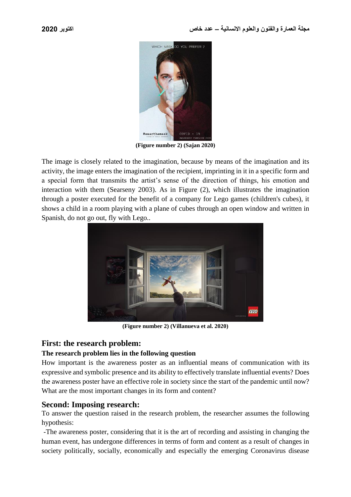

**(Figure number 2) (Sajan 2020)**

The image is closely related to the imagination, because by means of the imagination and its activity, the image enters the imagination of the recipient, imprinting in it in a specific form and a special form that transmits the artist's sense of the direction of things, his emotion and interaction with them (Searseny 2003). As in Figure (2), which illustrates the imagination through a poster executed for the benefit of a company for Lego games (children's cubes), it shows a child in a room playing with a plane of cubes through an open window and written in Spanish, do not go out, fly with Lego..



**(Figure number 2) (Villanueva et al. 2020)**

# **First: the research problem:**

### **The research problem lies in the following question**

How important is the awareness poster as an influential means of communication with its expressive and symbolic presence and its ability to effectively translate influential events? Does the awareness poster have an effective role in society since the start of the pandemic until now? What are the most important changes in its form and content?

### **Second: Imposing research:**

To answer the question raised in the research problem, the researcher assumes the following hypothesis:

-The awareness poster, considering that it is the art of recording and assisting in changing the human event, has undergone differences in terms of form and content as a result of changes in society politically, socially, economically and especially the emerging Coronavirus disease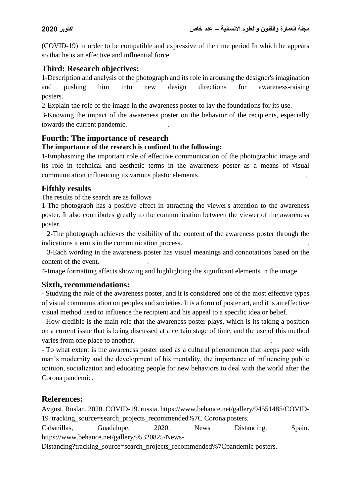(COVID-19) in order to be compatible and expressive of the time period In which he appears so that he is an effective and influential force.

# **Third: Research objectives:**

1-Description and analysis of the photograph and its role in arousing the designer's imagination and pushing him into new design directions for awareness-raising posters.

2-Explain the role of the image in the awareness poster to lay the foundations for its use.

3-Knowing the impact of the awareness poster on the behavior of the recipients, especially towards the current pandemic. .

### **Fourth: The importance of research**

#### **The importance of the research is confined to the following:**

1-Emphasizing the important role of effective communication of the photographic image and its role in technical and aesthetic terms in the awareness poster as a means of visual communication influencing its various plastic elements. .

### **Fifthly results**

The results of the search are as follows

1-The photograph has a positive effect in attracting the viewer's attention to the awareness poster. It also contributes greatly to the communication between the viewer of the awareness poster.

 2-The photograph achieves the visibility of the content of the awareness poster through the indications it emits in the communication process. .

 3-Each wording in the awareness poster has visual meanings and connotations based on the content of the event.

4-Image formatting affects showing and highlighting the significant elements in the image.

### **Sixth, recommendations:**

- Studying the role of the awareness poster, and it is considered one of the most effective types of visual communication on peoples and societies. It is a form of poster art, and it is an effective visual method used to influence the recipient and his appeal to a specific idea or belief.

- How credible is the main role that the awareness poster plays, which is its taking a position on a current issue that is being discussed at a certain stage of time, and the use of this method varies from one place to another.

- To what extent is the awareness poster used as a cultural phenomenon that keeps pace with man's modernity and the development of his mentality, the importance of influencing public opinion, socialization and educating people for new behaviors to deal with the world after the Corona pandemic.

### **References:**

Avgust, Ruslan. 2020. COVID-19. russia. https://www.behance.net/gallery/94551485/COVID-19?tracking\_source=search\_projects\_recommended%7C Corona posters.

Cabanillas, Guadalupe. 2020. News Distancing. Spain. https://www.behance.net/gallery/95320825/News-

Distancing?tracking\_source=search\_projects\_recommended%7Cpandemic posters.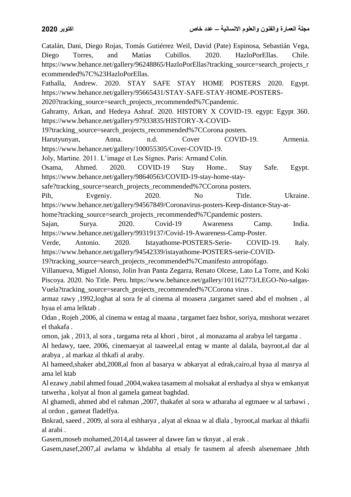Catalán, Dani, Diego Rojas, Tomás Gutiérrez Weil, David (Pate) Espinosa, Sebastián Vega, Diego Torres, and Matías Cubillos. 2020. HazloPorEllas. Chile. https://www.behance.net/gallery/96248865/HazloPorEllas?tracking\_source=search\_projects\_r ecommended%7C%23HazloPorEllas. Fathalla, Andrew. 2020. STAY SAFE STAY HOME POSTERS 2020. Egypt. https://www.behance.net/gallery/95665431/STAY-SAFE-STAY-HOME-POSTERS-2020?tracking\_source=search\_projects\_recommended%7Cpandemic. Gahramy, Arkan, and Hedeya Ashraf. 2020. HISTORY X COVID-19. egypt: Egypt 360. https://www.behance.net/gallery/97933835/HISTORY-X-COVID-19?tracking\_source=search\_projects\_recommended%7CCorona posters. Harutyunyan, Anna. n.d. Cover COVID-19. Armenia. https://www.behance.net/gallery/100055305/Cover-COVID-19. Joly, Martine. 2011. L'image et Les Signes. Paris: Armand Colin. Osama, Ahmed. 2020. COVID-19 Stay Home.. Stay Safe. Egypt. https://www.behance.net/gallery/98640563/COVID-19-stay-home-staysafe?tracking\_source=search\_projects\_recommended%7CCorona posters. Pih, Evgeniy. 2020. No Title. Ukraine. https://www.behance.net/gallery/94567849/Coronavirus-posters-Keep-distance-Stay-athome?tracking\_source=search\_projects\_recommended%7Cpandemic posters. Sajan, Surya. 2020. Covid-19 Awareness Camp. India. https://www.behance.net/gallery/99319137/Covid-19-Awareness-Camp-Poster. Verde, Antonio. 2020. Istayathome-POSTERS-Serie- COVID-19. Italy. https://www.behance.net/gallery/94542339/istayathome-POSTERS-serie-COVID-19?tracking\_source=search\_projects\_recommended%7Cmanifesto antropófago. Villanueva, Miguel Alonso, Jolin Ivan Panta Zegarra, Renato Olcese, Lato La Torre, and Koki Piscoya. 2020. No Title. Peru. https://www.behance.net/gallery/101162773/LEGO-No-salgas-Vuela?tracking\_source=search\_projects\_recommended%7CCorona virus . armaz rawy ,1992,loghat al sora fe al cinema al moasera ,targamet saeed abd el mohsen , al hyaa el ama lelktab . Odan , Rojeh ,2006, al cinema w entag al maana , targamet faez bshor, soriya, mnshorat wezaret el thakafa . omon, jak , 2013, al sora , targama reta al khori , birot , al monazama al arabya lel targama . Al hedawy, taee, 2006, cinemaeyat al taaweel,al entag w mante al dalala, bayroot,al dar al arabya , al markaz al thkafi al araby. Al hameed,shaker abd,2008,al fnon al basarya w abkaryat al edrak,cairo,al hyaa al masrya al ama lel ktab Al ezawy ,nabil ahmed fouad ,2004,wakea tasamem al molsakat al ershadya al shya w emkanyat tatwerha , kolyat al fnon al gamela gameat baghdad. Al ghamedi, ahmed abd el rahman ,2007, thakafet al sora w atharaha al egtmaee w al tarbawi , al ordon , gameat fladelfya.

Bnkrad, saeed , 2009, al sora al eshharya , alyat al eknaa w al dlala , byroot,al markaz al thkafii al arabi .

Gasem,moseb mohamed,2014,al tasweer al dawee fan w tknyat , al erak .

Gasem,nasef,2007,al awlama w khdabha al etsaly fe tasmem al afeesh alsenemaee ,bhth